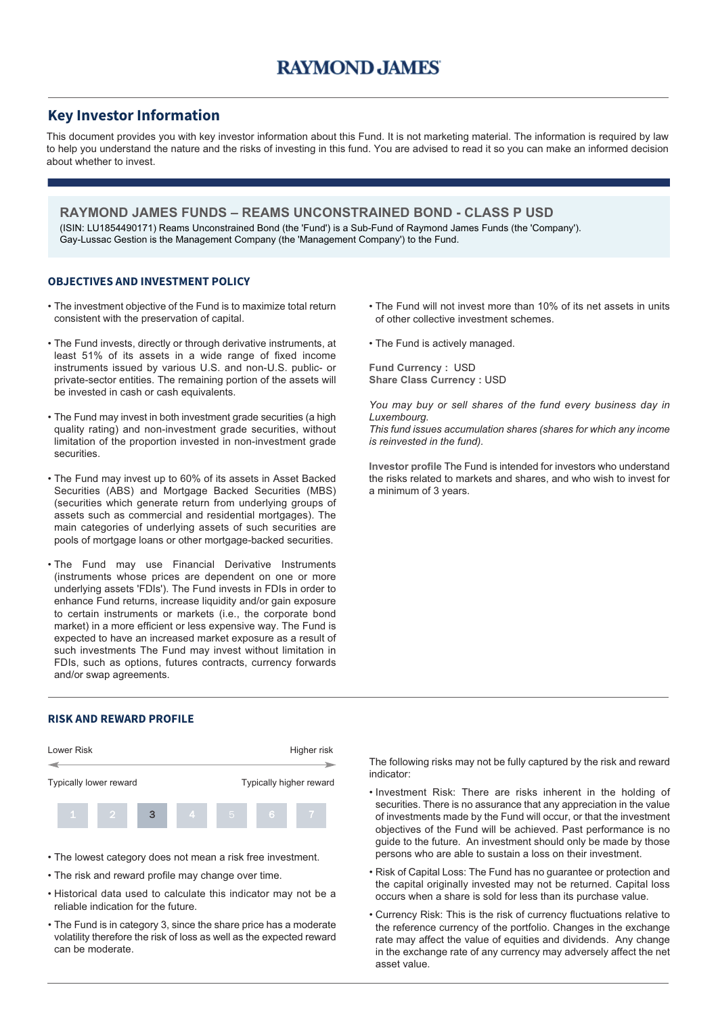## **Key Investor Information**

This document provides you with key investor information about this Fund. It is not marketing material. The information is required by law to help you understand the nature and the risks of investing in this fund. You are advised to read it so you can make an informed decision about whether to invest.

**RAYMOND JAMES FUNDS – REAMS UNCONSTRAINED BOND - CLASS P USD** (ISIN: LU1854490171) Reams Unconstrained Bond (the 'Fund') is a Sub-Fund of Raymond James Funds (the 'Company'). Gay-Lussac Gestion is the Management Company (the 'Management Company') to the Fund.

#### **OBJECTIVES AND INVESTMENT POLICY**

- The investment objective of the Fund is to maximize total return consistent with the preservation of capital.
- The Fund invests, directly or through derivative instruments, at least 51% of its assets in a wide range of fixed income instruments issued by various U.S. and non-U.S. public- or private-sector entities. The remaining portion of the assets will be invested in cash or cash equivalents.
- The Fund may invest in both investment grade securities (a high quality rating) and non-investment grade securities, without limitation of the proportion invested in non-investment grade securities.
- The Fund may invest up to 60% of its assets in Asset Backed Securities (ABS) and Mortgage Backed Securities (MBS) (securities which generate return from underlying groups of assets such as commercial and residential mortgages). The main categories of underlying assets of such securities are pools of mortgage loans or other mortgage-backed securities.
- The Fund may use Financial Derivative Instruments (instruments whose prices are dependent on one or more underlying assets 'FDIs'). The Fund invests in FDIs in order to enhance Fund returns, increase liquidity and/or gain exposure to certain instruments or markets (i.e., the corporate bond market) in a more efficient or less expensive way. The Fund is expected to have an increased market exposure as a result of such investments The Fund may invest without limitation in FDIs, such as options, futures contracts, currency forwards and/or swap agreements.

### **RISK AND REWARD PROFILE**



- The lowest category does not mean a risk free investment.
- The risk and reward profile may change over time.
- Historical data used to calculate this indicator may not be a reliable indication for the future.
- The Fund is in category 3, since the share price has a moderate volatility therefore the risk of loss as well as the expected reward can be moderate.
- The Fund will not invest more than 10% of its net assets in units of other collective investment schemes.
- The Fund is actively managed.

**Fund Currency :** USD **Share Class Currency :** USD

*You may buy or sell shares of the fund every business day in Luxembourg.*

*This fund issues accumulation shares (shares for which any income is reinvested in the fund).*

**Investor profile** The Fund is intended for investors who understand the risks related to markets and shares, and who wish to invest for a minimum of 3 years.

The following risks may not be fully captured by the risk and reward indicator:

- Investment Risk: There are risks inherent in the holding of securities. There is no assurance that any appreciation in the value of investments made by the Fund will occur, or that the investment objectives of the Fund will be achieved. Past performance is no guide to the future. An investment should only be made by those persons who are able to sustain a loss on their investment.
- Risk of Capital Loss: The Fund has no guarantee or protection and the capital originally invested may not be returned. Capital loss occurs when a share is sold for less than its purchase value.
- Currency Risk: This is the risk of currency fluctuations relative to the reference currency of the portfolio. Changes in the exchange rate may affect the value of equities and dividends. Any change in the exchange rate of any currency may adversely affect the net asset value.